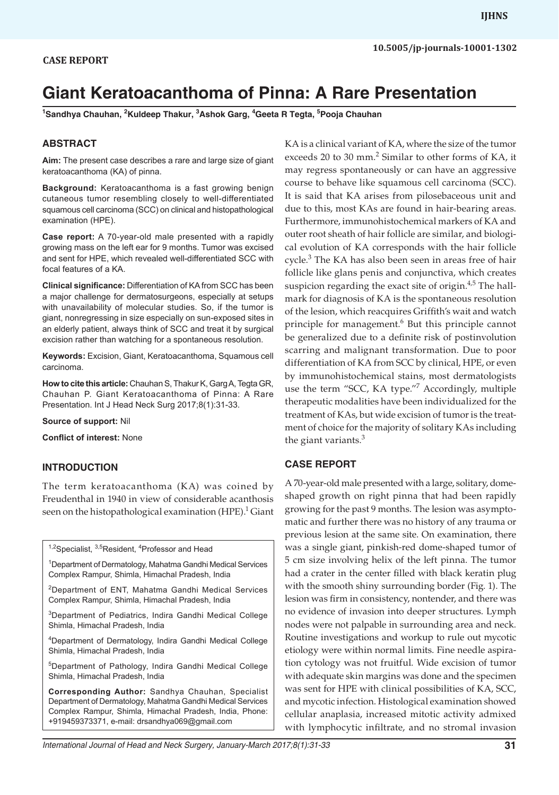# **Giant Keratoacanthoma of Pinna: A Rare Presentation**

**1 Sandhya Chauhan, 2 Kuldeep Thakur, 3 Ashok Garg, 4 Geeta R Tegta, 5 Pooja Chauhan**

#### **ABSTRACT**

**Aim:** The present case describes a rare and large size of giant keratoacanthoma (KA) of pinna.

**Background:** Keratoacanthoma is a fast growing benign cutaneous tumor resembling closely to well-differentiated squamous cell carcinoma (SCC) on clinical and histopathological examination (HPE).

**Case report:** A 70-year-old male presented with a rapidly growing mass on the left ear for 9 months. Tumor was excised and sent for HPE, which revealed well-differentiated SCC with focal features of a KA.

**Clinical significance:** Differentiation of KA from SCC has been a major challenge for dermatosurgeons, especially at setups with unavailability of molecular studies. So, if the tumor is giant, nonregressing in size especially on sun-exposed sites in an elderly patient, always think of SCC and treat it by surgical excision rather than watching for a spontaneous resolution.

**Keywords:** Excision, Giant, Keratoacanthoma, Squamous cell carcinoma.

**How to cite this article:** Chauhan S, Thakur K, Garg A, Tegta GR, Chauhan P. Giant Keratoacanthoma of Pinna: A Rare Presentation. Int J Head Neck Surg 2017;8(1):31-33.

**Source of support:** Nil

**Conflict of interest:** None

#### **INTRODUCTION**

The term keratoacanthoma (KA) was coined by Freudenthal in 1940 in view of considerable acanthosis seen on the histopathological examination (HPE). $^1$  Giant

<sup>1,2</sup>Specialist, <sup>3,5</sup>Resident, <sup>4</sup>Professor and Head

1 Department of Dermatology, Mahatma Gandhi Medical Services Complex Rampur, Shimla, Himachal Pradesh, India

2Department of ENT, Mahatma Gandhi Medical Services Complex Rampur, Shimla, Himachal Pradesh, India

<sup>3</sup>Department of Pediatrics, Indira Gandhi Medical College Shimla, Himachal Pradesh, India

4 Department of Dermatology, Indira Gandhi Medical College Shimla, Himachal Pradesh, India

5Department of Pathology, Indira Gandhi Medical College Shimla, Himachal Pradesh, India

**Corresponding Author:** Sandhya Chauhan, Specialist Department of Dermatology, Mahatma Gandhi Medical Services Complex Rampur, Shimla, Himachal Pradesh, India, Phone: +919459373371, e-mail: drsandhya069@gmail.com

*International Journal of Head and Neck Surgery, January-March 2017;8(1):31-33* **31**

KA is a clinical variant of KA, where the size of the tumor exceeds 20 to 30 mm.<sup>2</sup> Similar to other forms of KA, it may regress spontaneously or can have an aggressive course to behave like squamous cell carcinoma (SCC). It is said that KA arises from pilosebaceous unit and due to this, most KAs are found in hair-bearing areas. Furthermore, immunohistochemical markers of KA and outer root sheath of hair follicle are similar, and biological evolution of KA corresponds with the hair follicle cycle.<sup>3</sup> The KA has also been seen in areas free of hair follicle like glans penis and conjunctiva, which creates suspicion regarding the exact site of origin.<sup>4,5</sup> The hallmark for diagnosis of KA is the spontaneous resolution of the lesion, which reacquires Griffith's wait and watch principle for management.<sup>6</sup> But this principle cannot be generalized due to a definite risk of postinvolution scarring and malignant transformation. Due to poor differentiation of KA from SCC by clinical, HPE, or even by immunohistochemical stains, most dermatologists use the term "SCC, KA type."<sup>7</sup> Accordingly, multiple therapeutic modalities have been individualized for the treatment of KAs, but wide excision of tumor is the treatment of choice for the majority of solitary KAs including the giant variants. $3$ 

#### **CASE report**

A 70-year-old male presented with a large, solitary, domeshaped growth on right pinna that had been rapidly growing for the past 9 months. The lesion was asymptomatic and further there was no history of any trauma or previous lesion at the same site. On examination, there was a single giant, pinkish-red dome-shaped tumor of 5 cm size involving helix of the left pinna. The tumor had a crater in the center filled with black keratin plug with the smooth shiny surrounding border (Fig. 1). The lesion was firm in consistency, nontender, and there was no evidence of invasion into deeper structures. Lymph nodes were not palpable in surrounding area and neck. Routine investigations and workup to rule out mycotic etiology were within normal limits. Fine needle aspiration cytology was not fruitful. Wide excision of tumor with adequate skin margins was done and the specimen was sent for HPE with clinical possibilities of KA, SCC, and mycotic infection. Histological examination showed cellular anaplasia, increased mitotic activity admixed with lymphocytic infiltrate, and no stromal invasion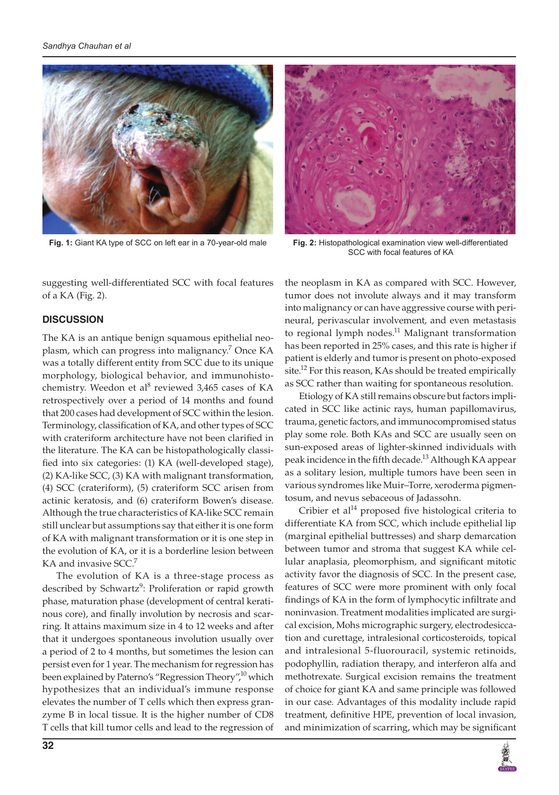



**Fig. 1:** Giant KA type of SCC on left ear in a 70-year-old male **Fig. 2:** Histopathological examination view well-differentiated SCC with focal features of KA

suggesting well-differentiated SCC with focal features of a KA (Fig. 2).

### **DISCUSSION**

The KA is an antique benign squamous epithelial neoplasm, which can progress into malignancy.<sup>7</sup> Once KA was a totally different entity from SCC due to its unique morphology, biological behavior, and immunohistochemistry. Weedon et al<sup>8</sup> reviewed 3,465 cases of KA retrospectively over a period of 14 months and found that 200 cases had development of SCC within the lesion. Terminology, classification of KA, and other types of SCC with crateriform architecture have not been clarified in the literature. The KA can be histopathologically classified into six categories: (1) KA (well-developed stage), (2) KA-like SCC, (3) KA with malignant transformation, (4) SCC (crateriform), (5) crateriform SCC arisen from actinic keratosis, and (6) crateriform Bowen's disease. Although the true characteristics of KA-like SCC remain still unclear but assumptions say that either it is one form of KA with malignant transformation or it is one step in the evolution of KA, or it is a borderline lesion between KA and invasive SCC.<sup>7</sup>

The evolution of KA is a three-stage process as described by Schwartz<sup>9</sup>: Proliferation or rapid growth phase, maturation phase (development of central keratinous core), and finally involution by necrosis and scarring. It attains maximum size in 4 to 12 weeks and after that it undergoes spontaneous involution usually over a period of 2 to 4 months, but sometimes the lesion can persist even for 1 year. The mechanism for regression has been explained by Paterno's "Regression Theory",<sup>10</sup> which hypothesizes that an individual's immune response elevates the number of T cells which then express granzyme B in local tissue. It is the higher number of CD8 T cells that kill tumor cells and lead to the regression of

the neoplasm in KA as compared with SCC. However, tumor does not involute always and it may transform into malignancy or can have aggressive course with perineural, perivascular involvement, and even metastasis to regional lymph nodes.<sup>11</sup> Malignant transformation has been reported in 25% cases, and this rate is higher if patient is elderly and tumor is present on photo-exposed site.<sup>12</sup> For this reason, KAs should be treated empirically as SCC rather than waiting for spontaneous resolution.

Etiology of KA still remains obscure but factors implicated in SCC like actinic rays, human papillomavirus, trauma, genetic factors, and immunocompromised status play some role. Both KAs and SCC are usually seen on sun-exposed areas of lighter-skinned individuals with peak incidence in the fifth decade.<sup>13</sup> Although KA appear as a solitary lesion, multiple tumors have been seen in various syndromes like Muir–Torre, xeroderma pigmentosum, and nevus sebaceous of Jadassohn.

Cribier et al $14$  proposed five histological criteria to differentiate KA from SCC, which include epithelial lip (marginal epithelial buttresses) and sharp demarcation between tumor and stroma that suggest KA while cellular anaplasia, pleomorphism, and significant mitotic activity favor the diagnosis of SCC. In the present case, features of SCC were more prominent with only focal findings of KA in the form of lymphocytic infiltrate and noninvasion. Treatment modalities implicated are surgical excision, Mohs micrographic surgery, electrodesiccation and curettage, intralesional corticosteroids, topical and intralesional 5-fluorouracil, systemic retinoids, podophyllin, radiation therapy, and interferon alfa and methotrexate. Surgical excision remains the treatment of choice for giant KA and same principle was followed in our case. Advantages of this modality include rapid treatment, definitive HPE, prevention of local invasion, and minimization of scarring, which may be significant